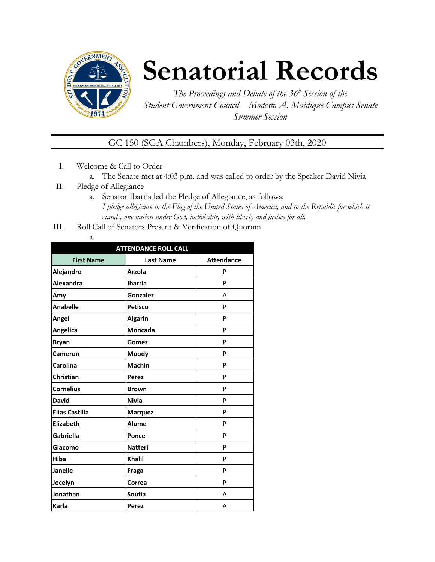

# **Senatorial Records**

*The Proceedings and Debate of the 36 <sup>h</sup> Session of the Student Government Council – Modesto A. Maidique Campus Senate Summer Session*

GC 150 (SGA Chambers), Monday, February 03th, 2020

- I. Welcome & Call to Order
	- a. The Senate met at 4:03 p.m. and was called to order by the Speaker David Nivia
- II. Pledge of Allegiance
	- a. Senator Ibarria led the Pledge of Allegiance, as follows: *I pledge allegiance to the Flag of the United States of America, and to the Republic for which it stands, one nation under God, indivisible, with liberty and justice for all.*
- III. Roll Call of Senators Present & Verification of Quorum

| . .<br>÷<br>۰. |
|----------------|

| <b>ATTENDANCE ROLL CALL</b> |                  |                   |  |  |
|-----------------------------|------------------|-------------------|--|--|
| <b>First Name</b>           | <b>Last Name</b> | <b>Attendance</b> |  |  |
| Alejandro                   | <b>Arzola</b>    | P                 |  |  |
| <b>Alexandra</b>            | <b>Ibarria</b>   | P                 |  |  |
| Amy                         | Gonzalez         | A                 |  |  |
| <b>Anabelle</b>             | <b>Petisco</b>   | P                 |  |  |
| Angel                       | <b>Algarin</b>   | P                 |  |  |
| Angelica                    | <b>Moncada</b>   | P                 |  |  |
| <b>Bryan</b>                | Gomez            | P                 |  |  |
| <b>Cameron</b>              | Moody            | P                 |  |  |
| Carolina                    | <b>Machin</b>    | P                 |  |  |
| Christian                   | <b>Perez</b>     | P                 |  |  |
| <b>Cornelius</b>            | <b>Brown</b>     | P                 |  |  |
| <b>David</b>                | <b>Nivia</b>     | P                 |  |  |
| <b>Elias Castilla</b>       | <b>Marquez</b>   | P                 |  |  |
| Elizabeth                   | <b>Alume</b>     | P                 |  |  |
| <b>Gabriella</b>            | Ponce            | P                 |  |  |
| Giacomo                     | <b>Natteri</b>   | P                 |  |  |
| Hiba                        | <b>Khalil</b>    | P                 |  |  |
| <b>Janelle</b>              | Fraga            | P                 |  |  |
| Jocelyn                     | Correa           | P                 |  |  |
| Jonathan                    | Soufia           | A                 |  |  |
| Karla                       | Perez            | А                 |  |  |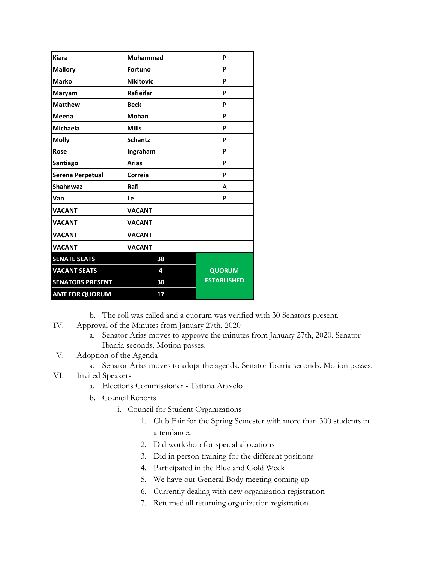| <b>Kiara</b>            | <b>Mohammad</b>  | P                  |
|-------------------------|------------------|--------------------|
| <b>Mallory</b>          | <b>Fortuno</b>   | P                  |
| <b>Marko</b>            | <b>Nikitovic</b> | P                  |
| Maryam                  | Rafieifar        | P                  |
| <b>Matthew</b>          | <b>Beck</b>      | P                  |
| Meena                   | <b>Mohan</b>     | P                  |
| <b>Michaela</b>         | <b>Mills</b>     | P                  |
| <b>Molly</b>            | <b>Schantz</b>   | P                  |
| <b>Rose</b>             | Ingraham         | P                  |
| Santiago                | <b>Arias</b>     | P                  |
| Serena Perpetual        | Correia          | P                  |
| Shahnwaz                | Rafi             | A                  |
| Van                     | Le               | P                  |
| <b>VACANT</b>           | <b>VACANT</b>    |                    |
| <b>VACANT</b>           | <b>VACANT</b>    |                    |
| <b>VACANT</b>           | <b>VACANT</b>    |                    |
| <b>VACANT</b>           | <b>VACANT</b>    |                    |
| <b>SENATE SEATS</b>     | 38               |                    |
| <b>VACANT SEATS</b>     | 4                | <b>QUORUM</b>      |
| <b>SENATORS PRESENT</b> | 30               | <b>ESTABLISHED</b> |
| <b>AMT FOR QUORUM</b>   | 17               |                    |

b. The roll was called and a quorum was verified with 30 Senators present.

- IV. Approval of the Minutes from January 27th, 2020
	- a. Senator Arias moves to approve the minutes from January 27th, 2020. Senator Ibarria seconds. Motion passes.
- V. Adoption of the Agenda
	- a. Senator Arias moves to adopt the agenda. Senator Ibarria seconds. Motion passes.

## VI. Invited Speakers

- a. Elections Commissioner Tatiana Aravelo
- b. Council Reports
	- i. Council for Student Organizations
		- 1. Club Fair for the Spring Semester with more than 300 students in attendance.
		- 2. Did workshop for special allocations
		- 3. Did in person training for the different positions
		- 4. Participated in the Blue and Gold Week
		- 5. We have our General Body meeting coming up
		- 6. Currently dealing with new organization registration
		- 7. Returned all returning organization registration.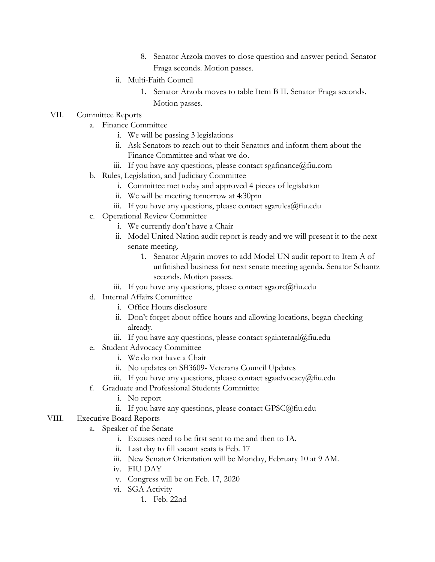- 8. Senator Arzola moves to close question and answer period. Senator Fraga seconds. Motion passes.
- ii. Multi-Faith Council
	- 1. Senator Arzola moves to table Item B II. Senator Fraga seconds. Motion passes.
- VII. Committee Reports
	- a. Finance Committee
		- i. We will be passing 3 legislations
		- ii. Ask Senators to reach out to their Senators and inform them about the Finance Committee and what we do.
		- iii. If you have any questions, please contact sgafinance  $@$  fiu.com
	- b. Rules, Legislation, and Judiciary Committee
		- i. Committee met today and approved 4 pieces of legislation
		- ii. We will be meeting tomorrow at 4:30pm
		- iii. If you have any questions, please contact sgarules@fiu.edu
	- c. Operational Review Committee
		- i. We currently don't have a Chair
		- ii. Model United Nation audit report is ready and we will present it to the next senate meeting.
			- 1. Senator Algarin moves to add Model UN audit report to Item A of unfinished business for next senate meeting agenda. Senator Schantz seconds. Motion passes.
		- iii. If you have any questions, please contact sgaorc $@$ fiu.edu
	- d. Internal Affairs Committee
		- i. Office Hours disclosure
		- ii. Don't forget about office hours and allowing locations, began checking already.
		- iii. If you have any questions, please contact sgainternal@fiu.edu
	- e. Student Advocacy Committee
		- i. We do not have a Chair
		- ii. No updates on SB3609- Veterans Council Updates
		- iii. If you have any questions, please contact sgaadvocacy@fiu.edu
	- f. Graduate and Professional Students Committee
		- i. No report
		- ii. If you have any questions, please contact GPSC@fiu.edu
- VIII. Executive Board Reports
	- a. Speaker of the Senate
		- i. Excuses need to be first sent to me and then to IA.
		- ii. Last day to fill vacant seats is Feb. 17
		- iii. New Senator Orientation will be Monday, February 10 at 9 AM.
		- iv. FIU DAY
		- v. Congress will be on Feb. 17, 2020
		- vi. SGA Activity
			- 1. Feb. 22nd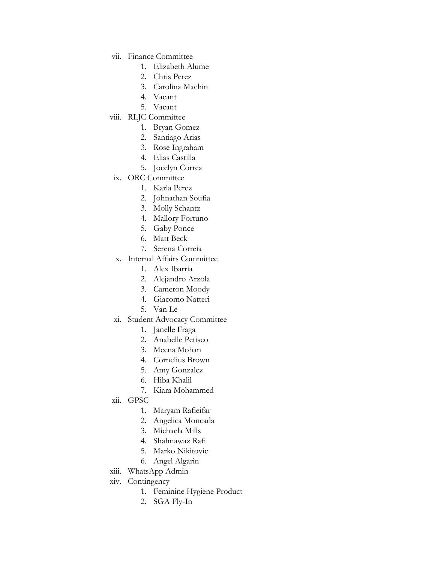- vii. Finance Committee
	- 1. Elizabeth Alume
	- 2. Chris Perez
	- 3. Carolina Machin
	- 4. Vacant
	- 5. Vacant
- viii. RLJC Committee
	- 1. Bryan Gomez
	- 2. Santiago Arias
	- 3. Rose Ingraham
	- 4. Elias Castilla
	- 5. Jocelyn Correa
- ix. ORC Committee
	- 1. Karla Perez
	- 2. Johnathan Soufia
	- 3. Molly Schantz
	- 4. Mallory Fortuno
	- 5. Gaby Ponce
	- 6. Matt Beck
	- 7. Serena Correia
- x. Internal Affairs Committee
	- 1. Alex Ibarria
	- 2. Alejandro Arzola
	- 3. Cameron Moody
	- 4. Giacomo Natteri
	- 5. Van Le
- xi. Student Advocacy Committee
	- 1. Janelle Fraga
	- 2. Anabelle Petisco
	- 3. Meena Mohan
	- 4. Cornelius Brown
	- 5. Amy Gonzalez
	- 6. Hiba Khalil
	- 7. Kiara Mohammed
- xii. GPSC
	- 1. Maryam Rafieifar
	- 2. Angelica Moncada
	- 3. Michaela Mills
	- 4. Shahnawaz Rafi
	- 5. Marko Nikitovic
	- 6. Angel Algarin
- xiii. WhatsApp Admin
- xiv. Contingency
	- 1. Feminine Hygiene Product
	- 2. SGA Fly-In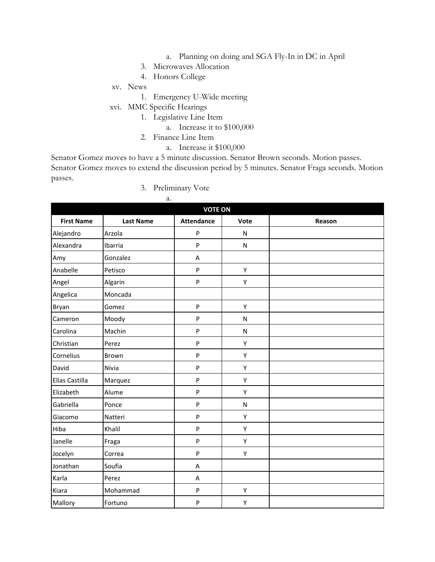- a. Planning on doing and SGA Fly-In in DC in April
- 3. Microwaves Allocation
- 4. Honors College
- xv. News
	- 1. Emergency U-Wide meeting
- xvi. MMC Specific Hearings
	- 1. Legislative Line Item
		- a. Increase it to \$100,000
	- 2. Finance Line Item
		- a. Increase it \$100,000

Senator Gomez moves to have a 5 minute discussion. Senator Brown seconds. Motion passes. Senator Gomez moves to extend the discussion period by 5 minutes. Senator Fraga seconds. Motion passes.

3. Preliminary Vote

**VOTE ON First Name Last Name Attendance Vote Reason** Alejandro | Arzola | P | N Alexandra Ibarria 1 P N Amy Gonzalez A Anabelle Petisco | P Y Angel | Algarin | P | Y Angelica Moncada Bryan | Gomez | P | Y Cameron Moody P N Carolina | Machin | P | N Christian Perez I P Y Cornelius Brown | P Y David | Nivia | P | Y Elias Castilla Marquez | P | Y Elizabeth Alume I P Y Gabriella Ponce I P N Giacomo Natteri P Y Hiba Khalil P Y Janelle Fraga P Y Jocelyn | Correa | P | Y Jonathan Soufia A Karla Perez A Kiara | Mohammad | P | Y Mallory Fortuno | P | Y

a.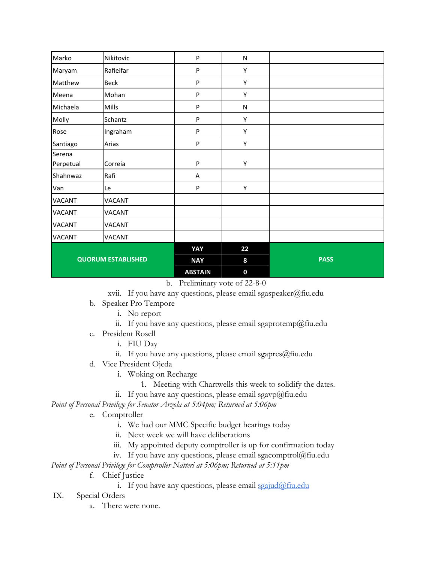| P<br>P<br>P<br>P<br>P<br>P<br>P | Υ<br>Υ<br>Υ<br>N<br>Υ<br>Y<br>Υ |             |
|---------------------------------|---------------------------------|-------------|
|                                 |                                 |             |
|                                 |                                 |             |
|                                 |                                 |             |
|                                 |                                 |             |
|                                 |                                 |             |
|                                 |                                 |             |
|                                 |                                 |             |
|                                 |                                 |             |
| P                               | Υ                               |             |
| A                               |                                 |             |
| P                               | Υ                               |             |
|                                 |                                 |             |
|                                 |                                 |             |
|                                 |                                 |             |
|                                 |                                 |             |
| YAY                             | 22                              |             |
| <b>NAY</b>                      | 8                               | <b>PASS</b> |
| <b>ABSTAIN</b>                  | $\mathbf 0$                     |             |
|                                 | <b>QUORUM ESTABLISHED</b>       |             |

b. Preliminary vote of 22-8-0

xvii. If you have any questions, please email sgaspeaker@fiu.edu

- b. Speaker Pro Tempore
	- i. No report
	- ii. If you have any questions, please email sgaprotemp@fiu.edu
- c. President Rosell
	- i. FIU Day
	- ii. If you have any questions, please email sgapres@fiu.edu
- d. Vice President Ojeda
	- i. Woking on Recharge
		- 1. Meeting with Chartwells this week to solidify the dates.
	- ii. If you have any questions, please email sgavp $@$ fiu.edu

*Point of Personal Privilege for Senator Arzola at 5:04pm; Returned at 5:06pm*

- e. Comptroller
	- i. We had our MMC Specific budget hearings today
	- ii. Next week we will have deliberations
	- iii. My appointed deputy comptroller is up for confirmation today

iv. If you have any questions, please email sgacomptrol@fiu.edu

*Point of Personal Privilege for Comptroller Natteri at 5:06pm; Returned at 5:11pm*

- f. Chief Justice
	- i. If you have any questions, please email  $sgaiud@final$
- IX. Special Orders
	- a. There were none.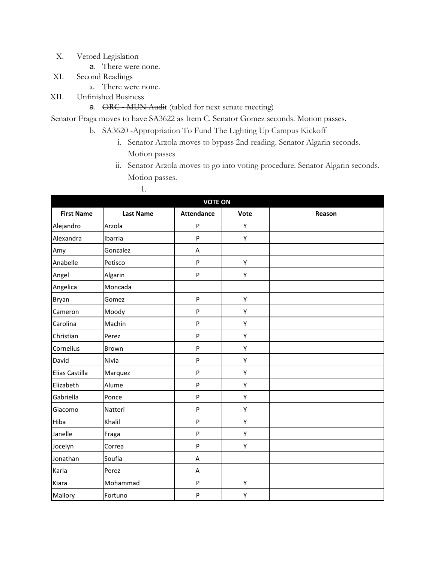- X. Vetoed Legislation
	- a. There were none.
- XI. Second Readings
	- a. There were none.
- XII. Unfinished Business
	- a. ORC MUN Audit (tabled for next senate meeting)

Senator Fraga moves to have SA3622 as Item C. Senator Gomez seconds. Motion passes.

- b. SA3620 -Appropriation To Fund The Lighting Up Campus Kickoff
	- i. Senator Arzola moves to bypass 2nd reading. Senator Algarin seconds. Motion passes
	- ii. Senator Arzola moves to go into voting procedure. Senator Algarin seconds. Motion passes.

| <b>VOTE ON</b>    |                  |                   |      |        |
|-------------------|------------------|-------------------|------|--------|
| <b>First Name</b> | <b>Last Name</b> | <b>Attendance</b> | Vote | Reason |
| Alejandro         | Arzola           | P                 | Υ    |        |
| Alexandra         | Ibarria          | P                 | Υ    |        |
| Amy               | Gonzalez         | A                 |      |        |
| Anabelle          | Petisco          | P                 | Υ    |        |
| Angel             | Algarin          | P                 | Υ    |        |
| Angelica          | Moncada          |                   |      |        |
| Bryan             | Gomez            | P                 | Υ    |        |
| Cameron           | Moody            | P                 | Υ    |        |
| Carolina          | Machin           | P                 | Υ    |        |
| Christian         | Perez            | P                 | Υ    |        |
| Cornelius         | Brown            | P                 | Υ    |        |
| David             | Nivia            | P                 | Υ    |        |
| Elias Castilla    | Marquez          | P                 | Υ    |        |
| Elizabeth         | Alume            | P                 | Υ    |        |
| Gabriella         | Ponce            | P                 | Υ    |        |
| Giacomo           | Natteri          | P                 | Υ    |        |
| Hiba              | Khalil           | P                 | Υ    |        |
| Janelle           | Fraga            | P                 | Υ    |        |
| Jocelyn           | Correa           | P                 | Υ    |        |
| Jonathan          | Soufia           | A                 |      |        |
| Karla             | Perez            | A                 |      |        |
| Kiara             | Mohammad         | P                 | Υ    |        |
| Mallory           | Fortuno          | P                 | Υ    |        |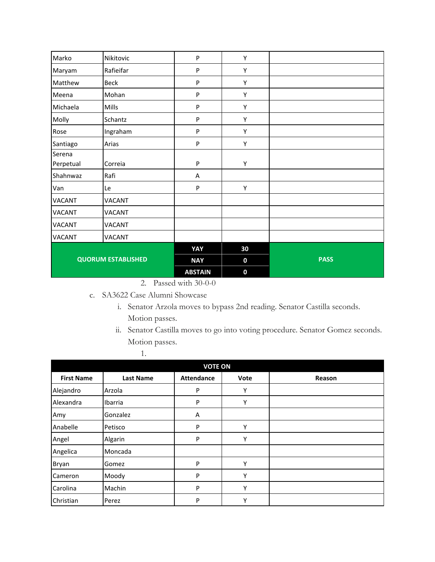| Marko                     | Nikitovic     | P              | Υ           |             |
|---------------------------|---------------|----------------|-------------|-------------|
| Maryam                    | Rafieifar     | P              | Υ           |             |
| Matthew                   | <b>Beck</b>   | P              | Υ           |             |
| Meena                     | Mohan         | P              | Υ           |             |
| Michaela                  | Mills         | P              | Υ           |             |
| Molly                     | Schantz       | P              | Υ           |             |
| Rose                      | Ingraham      | P              | Y           |             |
| Santiago                  | Arias         | P              | Υ           |             |
| Serena<br>Perpetual       | Correia       | P              | Υ           |             |
| Shahnwaz                  | Rafi          | Α              |             |             |
| Van                       | Le            | P              | Υ           |             |
| <b>VACANT</b>             | <b>VACANT</b> |                |             |             |
| <b>VACANT</b>             | <b>VACANT</b> |                |             |             |
| <b>VACANT</b>             | <b>VACANT</b> |                |             |             |
| <b>VACANT</b>             | <b>VACANT</b> |                |             |             |
|                           |               | YAY            | 30          |             |
| <b>QUORUM ESTABLISHED</b> |               | <b>NAY</b>     | $\mathbf 0$ | <b>PASS</b> |
|                           |               | <b>ABSTAIN</b> | $\bf{0}$    |             |

2. Passed with 30-0-0

- c. SA3622 Case Alumni Showcase
	- i. Senator Arzola moves to bypass 2nd reading. Senator Castilla seconds. Motion passes.
	- ii. Senator Castilla moves to go into voting procedure. Senator Gomez seconds. Motion passes.

| <b>VOTE ON</b>    |                  |                   |      |        |
|-------------------|------------------|-------------------|------|--------|
| <b>First Name</b> | <b>Last Name</b> | <b>Attendance</b> | Vote | Reason |
| Alejandro         | Arzola           | P                 | Υ    |        |
| Alexandra         | Ibarria          | P                 | Υ    |        |
| Amy               | Gonzalez         | A                 |      |        |
| Anabelle          | Petisco          | P                 | Υ    |        |
| Angel             | Algarin          | P                 | Υ    |        |
| Angelica          | Moncada          |                   |      |        |
| Bryan             | Gomez            | P                 | Υ    |        |
| Cameron           | Moody            | P                 | Υ    |        |
| Carolina          | Machin           | P                 | Υ    |        |
| Christian         | Perez            | P                 | Υ    |        |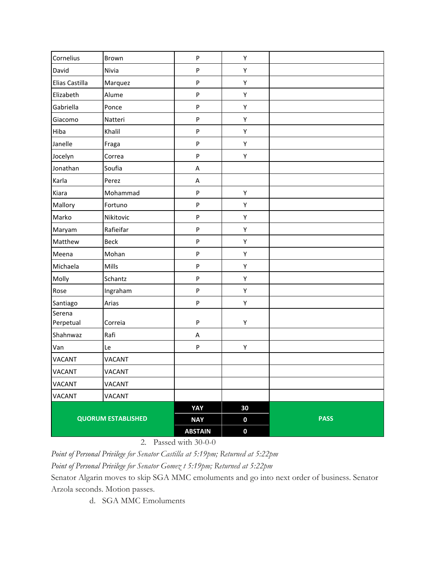| Brown                     | P               | Υ                                 |             |
|---------------------------|-----------------|-----------------------------------|-------------|
| Nivia                     | P               | Υ                                 |             |
| Marquez                   | P               | Υ                                 |             |
| Alume                     | P               | Υ                                 |             |
| Ponce                     | P               | Υ                                 |             |
| Natteri                   | P               | Υ                                 |             |
| Khalil                    | P               | Υ                                 |             |
| Fraga                     | P               | Υ                                 |             |
| Correa                    | P               | Υ                                 |             |
| Soufia                    | $\mathsf A$     |                                   |             |
| Perez                     | A               |                                   |             |
| Mohammad                  | P               | Υ                                 |             |
| Fortuno                   | P               | Υ                                 |             |
| Nikitovic                 | P               | Υ                                 |             |
| Rafieifar                 | P               | Υ                                 |             |
| <b>Beck</b>               | P               | Υ                                 |             |
| Mohan                     | P               | Υ                                 |             |
| Mills                     | P               | Υ                                 |             |
| Schantz                   | P               | Υ                                 |             |
| Ingraham                  | P               | Υ                                 |             |
| Arias                     | P               | Y                                 |             |
|                           | P               |                                   |             |
|                           |                 |                                   |             |
| Le                        | P               | Υ                                 |             |
| <b>VACANT</b>             |                 |                                   |             |
| <b>VACANT</b>             |                 |                                   |             |
| VACANT                    |                 |                                   |             |
| <b>VACANT</b>             |                 |                                   |             |
|                           | YAY             | 30                                |             |
| <b>QUORUM ESTABLISHED</b> |                 | $\pmb{0}$                         | <b>PASS</b> |
|                           |                 | $\bf{0}$                          |             |
|                           | Correia<br>Rafi | A<br><b>NAY</b><br><b>ABSTAIN</b> | Υ           |

2. Passed with 30-0-0

*Point of Personal Privilege for Senator Castilla at 5:19pm; Returned at 5:22pm*

*Point of Personal Privilege for Senator Gomez t 5:19pm; Returned at 5:22pm*

Senator Algarin moves to skip SGA MMC emoluments and go into next order of business. Senator Arzola seconds. Motion passes.

d. SGA MMC Emoluments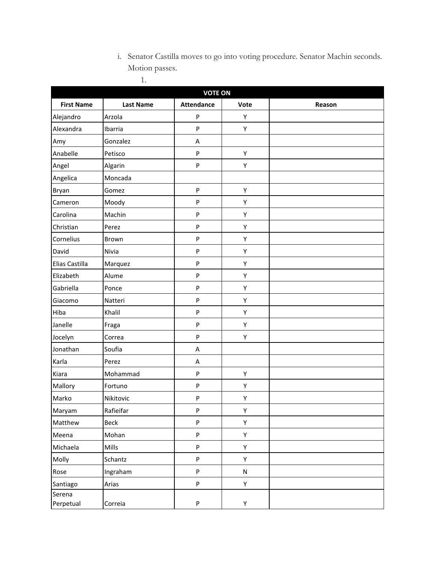i. Senator Castilla moves to go into voting procedure. Senator Machin seconds. Motion passes.

| <b>VOTE ON</b>      |                  |                   |           |        |  |
|---------------------|------------------|-------------------|-----------|--------|--|
| <b>First Name</b>   | <b>Last Name</b> | <b>Attendance</b> | Vote      | Reason |  |
| Alejandro           | Arzola           | P                 | Υ         |        |  |
| Alexandra           | Ibarria          | P                 | Υ         |        |  |
| Amy                 | Gonzalez         | Α                 |           |        |  |
| Anabelle            | Petisco          | P                 | Υ         |        |  |
| Angel               | Algarin          | P                 | Υ         |        |  |
| Angelica            | Moncada          |                   |           |        |  |
| Bryan               | Gomez            | $\mathsf{P}$      | Υ         |        |  |
| Cameron             | Moody            | P                 | Υ         |        |  |
| Carolina            | Machin           | P                 | Υ         |        |  |
| Christian           | Perez            | P                 | Υ         |        |  |
| Cornelius           | Brown            | P                 | Υ         |        |  |
| David               | Nivia            | P                 | Υ         |        |  |
| Elias Castilla      | Marquez          | P                 | Υ         |        |  |
| Elizabeth           | Alume            | P                 | Υ         |        |  |
| Gabriella           | Ponce            | P                 | Υ         |        |  |
| Giacomo             | Natteri          | P                 | Υ         |        |  |
| Hiba                | Khalil           | P                 | Υ         |        |  |
| Janelle             | Fraga            | P                 | Υ         |        |  |
| Jocelyn             | Correa           | P                 | Υ         |        |  |
| Jonathan            | Soufia           | Α                 |           |        |  |
| Karla               | Perez            | Α                 |           |        |  |
| Kiara               | Mohammad         | $\mathsf{P}$      | Υ         |        |  |
| Mallory             | Fortuno          | P                 | Υ         |        |  |
| Marko               | Nikitovic        | P                 | Υ         |        |  |
| Maryam              | Rafieifar        | P                 | Υ         |        |  |
| Matthew             | Beck             | P                 | Y         |        |  |
| Meena               | Mohan            | P                 | Υ         |        |  |
| Michaela            | Mills            | P                 | Υ         |        |  |
| Molly               | Schantz          | P                 | Υ         |        |  |
| Rose                | Ingraham         | ${\sf P}$         | ${\sf N}$ |        |  |
| Santiago            | Arias            | P                 | Y         |        |  |
| Serena<br>Perpetual | Correia          | ${\sf P}$         | Y         |        |  |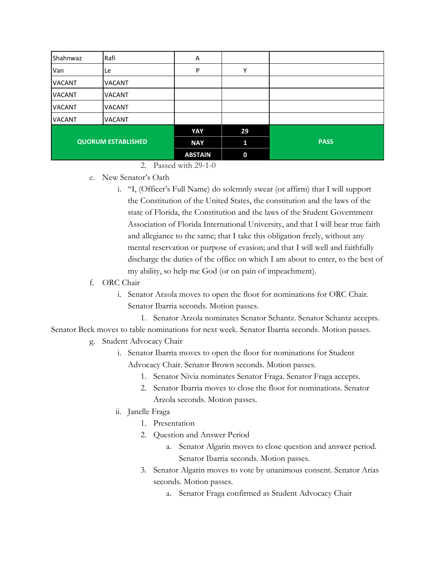| Shahnwaz                  | Rafi          | Α              |             |             |
|---------------------------|---------------|----------------|-------------|-------------|
| Van                       | Le            | P              | v           |             |
| <b>VACANT</b>             | <b>VACANT</b> |                |             |             |
| <b>VACANT</b>             | <b>VACANT</b> |                |             |             |
| <b>VACANT</b>             | <b>VACANT</b> |                |             |             |
| <b>VACANT</b>             | <b>VACANT</b> |                |             |             |
|                           |               | YAY            | 29          |             |
| <b>QUORUM ESTABLISHED</b> |               | <b>NAY</b>     | 1           | <b>PASS</b> |
|                           |               | <b>ABSTAIN</b> | $\mathbf 0$ |             |

2. Passed with 29-1-0

- e. New Senator's Oath
	- i. "I, (Officer's Full Name) do solemnly swear (or affirm) that I will support the Constitution of the United States, the constitution and the laws of the state of Florida, the Constitution and the laws of the Student Government Association of Florida International University, and that I will bear true faith and allegiance to the same; that I take this obligation freely, without any mental reservation or purpose of evasion; and that I will well and faithfully discharge the duties of the office on which I am about to enter, to the best of my ability, so help me God (or on pain of impeachment).

## f. ORC Chair

- i. Senator Arzola moves to open the floor for nominations for ORC Chair. Senator Ibarria seconds. Motion passes.
	- 1. Senator Arzola nominates Senator Schantz. Senator Schantz accepts.

Senator Beck moves to table nominations for next week. Senator Ibarria seconds. Motion passes.

- g. Student Advocacy Chair
	- i. Senator Ibarria moves to open the floor for nominations for Student Advocacy Chair. Senator Brown seconds. Motion passes.
		- 1. Senator Nivia nominates Senator Fraga. Senator Fraga accepts.
		- 2. Senator Ibarria moves to close the floor for nominations. Senator Arzola seconds. Motion passes.
	- ii. Janelle Fraga
		- 1. Presentation
		- 2. Question and Answer Period
			- a. Senator Algarin moves to close question and answer period. Senator Ibarria seconds. Motion passes.
		- 3. Senator Algarin moves to vote by unanimous consent. Senator Arias seconds. Motion passes.
			- a. Senator Fraga confirmed as Student Advocacy Chair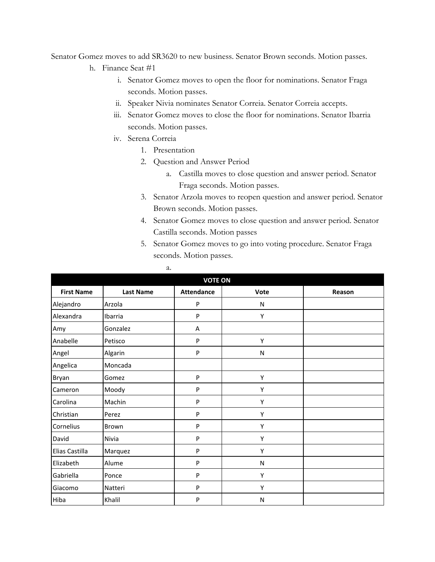Senator Gomez moves to add SR3620 to new business. Senator Brown seconds. Motion passes.

- h. Finance Seat #1
	- i. Senator Gomez moves to open the floor for nominations. Senator Fraga seconds. Motion passes.
	- ii. Speaker Nivia nominates Senator Correia. Senator Correia accepts.
	- iii. Senator Gomez moves to close the floor for nominations. Senator Ibarria seconds. Motion passes.
	- iv. Serena Correia
		- 1. Presentation

a.

- 2. Question and Answer Period
	- a. Castilla moves to close question and answer period. Senator Fraga seconds. Motion passes.
- 3. Senator Arzola moves to reopen question and answer period. Senator Brown seconds. Motion passes.
- 4. Senator Gomez moves to close question and answer period. Senator Castilla seconds. Motion passes
- 5. Senator Gomez moves to go into voting procedure. Senator Fraga seconds. Motion passes.

| <b>VOTE ON</b>    |                  |                   |      |        |  |
|-------------------|------------------|-------------------|------|--------|--|
| <b>First Name</b> | <b>Last Name</b> | <b>Attendance</b> | Vote | Reason |  |
| Alejandro         | Arzola           | P                 | N    |        |  |
| Alexandra         | Ibarria          | P                 | Y    |        |  |
| Amy               | Gonzalez         | A                 |      |        |  |
| Anabelle          | Petisco          | P                 | Υ    |        |  |
| Angel             | Algarin          | P                 | N    |        |  |
| Angelica          | Moncada          |                   |      |        |  |
| Bryan             | Gomez            | P                 | Υ    |        |  |
| Cameron           | Moody            | P                 | Y    |        |  |
| Carolina          | Machin           | P                 | Υ    |        |  |
| Christian         | Perez            | P                 | Υ    |        |  |
| Cornelius         | Brown            | P                 | Y    |        |  |
| David             | Nivia            | P                 | Υ    |        |  |
| Elias Castilla    | Marquez          | P                 | Y    |        |  |
| Elizabeth         | Alume            | P                 | N    |        |  |
| Gabriella         | Ponce            | P                 | Υ    |        |  |
| Giacomo           | Natteri          | P                 | Υ    |        |  |
| Hiba              | Khalil           | P                 | N    |        |  |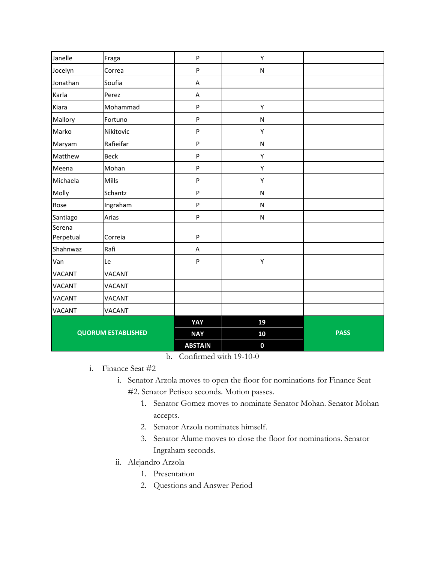| Janelle                   | Fraga         | P              | Υ           |             |
|---------------------------|---------------|----------------|-------------|-------------|
| Jocelyn                   | Correa        | P              | ${\sf N}$   |             |
| Jonathan                  | Soufia        | A              |             |             |
| Karla                     | Perez         | A              |             |             |
| Kiara                     | Mohammad      | P              | Υ           |             |
| Mallory                   | Fortuno       | P              | ${\sf N}$   |             |
| Marko                     | Nikitovic     | P              | Υ           |             |
| Maryam                    | Rafieifar     | P              | ${\sf N}$   |             |
| Matthew                   | <b>Beck</b>   | P              | Υ           |             |
| Meena                     | Mohan         | P              | Υ           |             |
| Michaela                  | Mills         | P              | Υ           |             |
| Molly                     | Schantz       | P              | ${\sf N}$   |             |
| Rose                      | Ingraham      | P              | ${\sf N}$   |             |
| Santiago                  | Arias         | P              | ${\sf N}$   |             |
| Serena<br>Perpetual       | Correia       | P              |             |             |
| Shahnwaz                  | Rafi          | A              |             |             |
| Van                       | Le            | P              | Υ           |             |
| <b>VACANT</b>             | <b>VACANT</b> |                |             |             |
| VACANT                    | <b>VACANT</b> |                |             |             |
| <b>VACANT</b>             | <b>VACANT</b> |                |             |             |
| <b>VACANT</b>             | <b>VACANT</b> |                |             |             |
|                           |               | YAY            | 19          |             |
| <b>QUORUM ESTABLISHED</b> |               | <b>NAY</b>     | 10          | <b>PASS</b> |
|                           |               | <b>ABSTAIN</b> | $\mathbf 0$ |             |

- b. Confirmed with 19-10-0
- i. Finance Seat #2
	- i. Senator Arzola moves to open the floor for nominations for Finance Seat #2. Senator Petisco seconds. Motion passes.
		- 1. Senator Gomez moves to nominate Senator Mohan. Senator Mohan accepts.
		- 2. Senator Arzola nominates himself.
		- 3. Senator Alume moves to close the floor for nominations. Senator Ingraham seconds.
	- ii. Alejandro Arzola
		- 1. Presentation
		- 2. Questions and Answer Period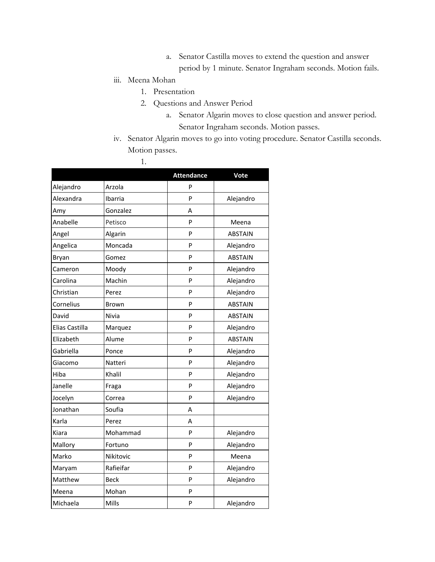a. Senator Castilla moves to extend the question and answer period by 1 minute. Senator Ingraham seconds. Motion fails.

### iii. Meena Mohan

- 1. Presentation
- 2. Questions and Answer Period
	- a. Senator Algarin moves to close question and answer period. Senator Ingraham seconds. Motion passes.
- iv. Senator Algarin moves to go into voting procedure. Senator Castilla seconds. Motion passes.

|                |             | <b>Attendance</b> | Vote           |
|----------------|-------------|-------------------|----------------|
| Alejandro      | Arzola      | P                 |                |
| Alexandra      | Ibarria     | P                 | Alejandro      |
| Amy            | Gonzalez    | A                 |                |
| Anabelle       | Petisco     | P                 | Meena          |
| Angel          | Algarin     | P                 | <b>ABSTAIN</b> |
| Angelica       | Moncada     | P                 | Alejandro      |
| Bryan          | Gomez       | P                 | <b>ABSTAIN</b> |
| Cameron        | Moody       | P                 | Alejandro      |
| Carolina       | Machin      | P                 | Alejandro      |
| Christian      | Perez       | P                 | Alejandro      |
| Cornelius      | Brown       | P                 | <b>ABSTAIN</b> |
| David          | Nivia       | P                 | <b>ABSTAIN</b> |
| Elias Castilla | Marquez     | P                 | Alejandro      |
| Elizabeth      | Alume       | P                 | <b>ABSTAIN</b> |
| Gabriella      | Ponce       | P                 | Alejandro      |
| Giacomo        | Natteri     | P                 | Alejandro      |
| Hiba           | Khalil      | P                 | Alejandro      |
| Janelle        | Fraga       | P                 | Alejandro      |
| Jocelyn        | Correa      | P                 | Alejandro      |
| Jonathan       | Soufia      | Α                 |                |
| Karla          | Perez       | A                 |                |
| Kiara          | Mohammad    | P                 | Alejandro      |
| Mallory        | Fortuno     | P                 | Alejandro      |
| Marko          | Nikitovic   | P                 | Meena          |
| Maryam         | Rafieifar   | P                 | Alejandro      |
| Matthew        | <b>Beck</b> | P                 | Alejandro      |
| Meena          | Mohan       | P                 |                |
| Michaela       | Mills       | P                 | Alejandro      |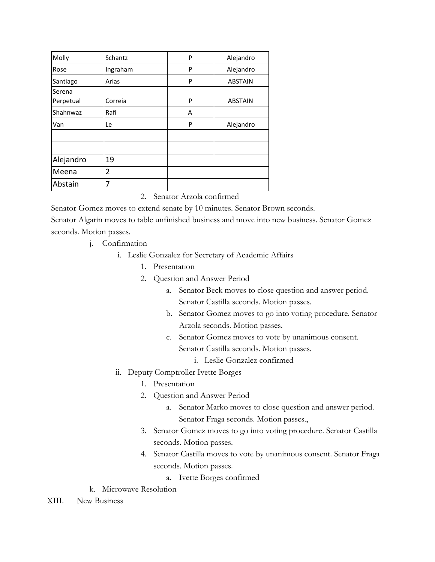| Molly     | Schantz        | P | Alejandro      |
|-----------|----------------|---|----------------|
| Rose      | Ingraham       | P | Alejandro      |
| Santiago  | Arias          | P | <b>ABSTAIN</b> |
| Serena    |                |   |                |
| Perpetual | Correia        | P | <b>ABSTAIN</b> |
| Shahnwaz  | Rafi           | A |                |
| Van       | Le             | P | Alejandro      |
|           |                |   |                |
|           |                |   |                |
| Alejandro | 19             |   |                |
| Meena     | $\overline{2}$ |   |                |
| Abstain   | 7              |   |                |

2. Senator Arzola confirmed

Senator Gomez moves to extend senate by 10 minutes. Senator Brown seconds.

Senator Algarin moves to table unfinished business and move into new business. Senator Gomez seconds. Motion passes.

### j. Confirmation

- i. Leslie Gonzalez for Secretary of Academic Affairs
	- 1. Presentation
	- 2. Question and Answer Period
		- a. Senator Beck moves to close question and answer period. Senator Castilla seconds. Motion passes.
		- b. Senator Gomez moves to go into voting procedure. Senator Arzola seconds. Motion passes.
		- c. Senator Gomez moves to vote by unanimous consent. Senator Castilla seconds. Motion passes.
			- i. Leslie Gonzalez confirmed
- ii. Deputy Comptroller Ivette Borges
	- 1. Presentation
	- 2. Question and Answer Period
		- a. Senator Marko moves to close question and answer period. Senator Fraga seconds. Motion passes.,
	- 3. Senator Gomez moves to go into voting procedure. Senator Castilla seconds. Motion passes.
	- 4. Senator Castilla moves to vote by unanimous consent. Senator Fraga seconds. Motion passes.
		- a. Ivette Borges confirmed
- k. Microwave Resolution
- XIII. New Business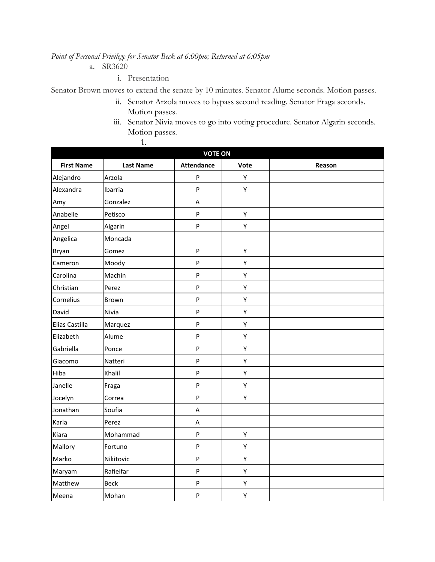*Point of Personal Privilege for Senator Beck at 6:00pm; Returned at 6:05pm*

- a. SR3620
	- i. Presentation

Senator Brown moves to extend the senate by 10 minutes. Senator Alume seconds. Motion passes.

- ii. Senator Arzola moves to bypass second reading. Senator Fraga seconds. Motion passes.
- iii. Senator Nivia moves to go into voting procedure. Senator Algarin seconds. Motion passes.

|                   |                  | <b>VOTE ON</b>    |      |        |
|-------------------|------------------|-------------------|------|--------|
| <b>First Name</b> | <b>Last Name</b> | <b>Attendance</b> | Vote | Reason |
| Alejandro         | Arzola           | P                 | Υ    |        |
| Alexandra         | Ibarria          | P                 | Υ    |        |
| Amy               | Gonzalez         | Α                 |      |        |
| Anabelle          | Petisco          | P                 | Υ    |        |
| Angel             | Algarin          | P                 | Υ    |        |
| Angelica          | Moncada          |                   |      |        |
| Bryan             | Gomez            | P                 | Υ    |        |
| Cameron           | Moody            | P                 | Υ    |        |
| Carolina          | Machin           | P                 | Υ    |        |
| Christian         | Perez            | P                 | Υ    |        |
| Cornelius         | Brown            | P                 | Υ    |        |
| David             | Nivia            | P                 | Υ    |        |
| Elias Castilla    | Marquez          | P                 | Υ    |        |
| Elizabeth         | Alume            | P                 | Υ    |        |
| Gabriella         | Ponce            | P                 | Υ    |        |
| Giacomo           | Natteri          | P                 | Υ    |        |
| Hiba              | Khalil           | P                 | Υ    |        |
| Janelle           | Fraga            | P                 | Υ    |        |
| Jocelyn           | Correa           | P                 | Υ    |        |
| Jonathan          | Soufia           | A                 |      |        |
| Karla             | Perez            | A                 |      |        |
| Kiara             | Mohammad         | P                 | Υ    |        |
| Mallory           | Fortuno          | P                 | Υ    |        |
| Marko             | Nikitovic        | P                 | Υ    |        |
| Maryam            | Rafieifar        | P                 | Υ    |        |
| Matthew           | <b>Beck</b>      | P                 | Υ    |        |
| Meena             | Mohan            | P                 | Υ    |        |